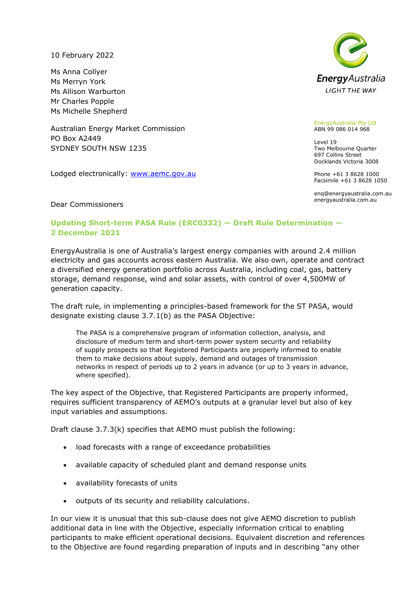10 February 2022

Ms Anna Collyer Ms Merryn York Ms Allison Warburton Mr Charles Popple Ms Michelle Shepherd

Australian Energy Market Commission PO Box A2449 SYDNEY SOUTH NSW 1235

Lodged electronically: [www.aemc.gov.au](http://www.aemc.gov.au/)



## EnergyAustralia Pty Ltd ABN 99 086 014 968

Level 19 Two Melbourne Quarter 697 Collins Street Docklands Victoria 3008

Phone +61 3 8628 1000 Facsimile +61 3 8628 1050

enq@energyaustralia.com.au energyaustralia.com.au

Dear Commissioners

## **Updating Short-term PASA Rule (ERC0332) — Draft Rule Determination — 2 December 2021**

EnergyAustralia is one of Australia's largest energy companies with around 2.4 million electricity and gas accounts across eastern Australia. We also own, operate and contract a diversified energy generation portfolio across Australia, including coal, gas, battery storage, demand response, wind and solar assets, with control of over 4,500MW of generation capacity.

The draft rule, in implementing a principles-based framework for the ST PASA, would designate existing clause 3.7.1(b) as the PASA Objective:

The PASA is a comprehensive program of information collection, analysis, and disclosure of medium term and short-term power system security and reliability of supply prospects so that Registered Participants are properly informed to enable them to make decisions about supply, demand and outages of transmission networks in respect of periods up to 2 years in advance (or up to 3 years in advance, where specified).

The key aspect of the Objective, that Registered Participants are properly informed, requires sufficient transparency of AEMO's outputs at a granular level but also of key input variables and assumptions.

Draft clause 3.7.3(k) specifies that AEMO must publish the following:

- load forecasts with a range of exceedance probabilities
- available capacity of scheduled plant and demand response units
- availability forecasts of units
- outputs of its security and reliability calculations.

In our view it is unusual that this sub-clause does not give AEMO discretion to publish additional data in line with the Objective, especially information critical to enabling participants to make efficient operational decisions. Equivalent discretion and references to the Objective are found regarding preparation of inputs and in describing "any other